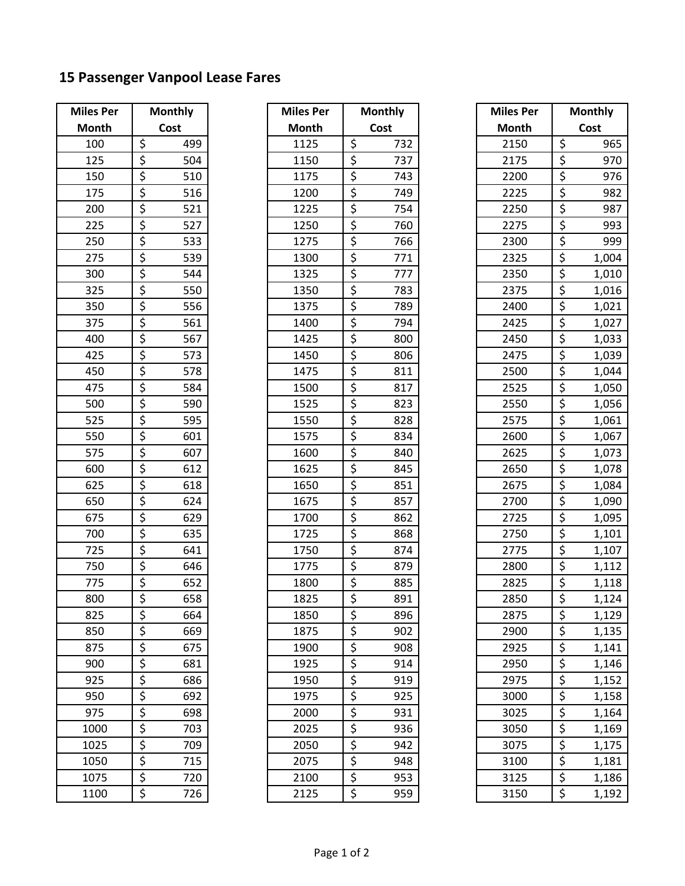## **15 Passenger Vanpool Lease Fares**

| <b>Miles Per</b> | <b>Monthly</b>    |                 |  |
|------------------|-------------------|-----------------|--|
| Month            | Cost              |                 |  |
| 100              |                   | 499             |  |
| 125              |                   | 504             |  |
| 150              |                   | 510             |  |
| $\overline{175}$ |                   | 516             |  |
| 200              |                   | <u>521</u>      |  |
| 225              |                   | 527             |  |
| 250              |                   | 533             |  |
| 275              |                   | 539             |  |
| 300              |                   | 544             |  |
| 325              |                   | 550             |  |
| 350              |                   | 556             |  |
| $\frac{1}{375}$  |                   | 561             |  |
| 400              |                   | 567             |  |
| 425              |                   | $\frac{1}{573}$ |  |
| 450              |                   | 578             |  |
| 475              |                   | 584             |  |
| 500              |                   | 590             |  |
| 525              |                   | 595             |  |
| 550              |                   | 601             |  |
| 575              |                   | 607             |  |
| 600              |                   | 612             |  |
| 625              |                   | 618             |  |
| 650              |                   | 624             |  |
| 675              |                   | 629             |  |
| 700              |                   | 635             |  |
| $\frac{725}{ }$  |                   | 641             |  |
| 750              |                   | 646             |  |
| $\frac{1}{775}$  |                   | 652             |  |
| 800              |                   | 658             |  |
| 825              |                   | 664             |  |
| 850              |                   | 669             |  |
| 875              |                   | 675             |  |
| 900              | <u>そうですようですよう</u> | 681             |  |
| 925              |                   | 686             |  |
| 950              |                   | 692             |  |
| 975              |                   | 698             |  |
| 1000             |                   | 703             |  |
| 1025             |                   | 709             |  |
| 1050             |                   | 715             |  |
| 1075             |                   | 720             |  |
| 1100             |                   | 726             |  |

| iles Per<br><b>Monthly</b> |                                        | <b>Miles Per</b> | <b>Monthly</b>   |      | <b>Miles Per</b> |              | <b>Monthly</b>                  |       |
|----------------------------|----------------------------------------|------------------|------------------|------|------------------|--------------|---------------------------------|-------|
| <b>Aonth</b>               | Cost                                   | Month            |                  | Cost |                  | <b>Month</b> |                                 | Cost  |
| 100                        | \$<br>499                              | 1125             | \$               | 732  |                  | 2150         | \$                              | 965   |
| 125                        | $\overline{\xi}$<br>504                | 1150             | \$               | 737  |                  | 2175         | \$                              | 970   |
| 150                        | $\overline{\xi}$<br>510                | 1175             | \$               | 743  |                  | 2200         | \$                              | 976   |
| 175                        | $\overline{\boldsymbol{\zeta}}$<br>516 | 1200             | \$               | 749  |                  | 2225         | \$                              | 982   |
| 200                        | \$<br>521                              | 1225             | \$               | 754  |                  | 2250         | \$                              | 987   |
| 225                        | \$<br>527                              | 1250             | \$               | 760  |                  | 2275         | \$                              | 993   |
| 250                        | \$<br>533                              | 1275             | \$               | 766  |                  | 2300         | $\overline{\xi}$                | 999   |
| 275                        | $\overline{\xi}$<br>539                | 1300             | \$               | 771  |                  | 2325         | \$                              | 1,004 |
| 300                        | \$<br>544                              | 1325             | \$               | 777  |                  | 2350         | \$                              | 1,010 |
| 325                        | $\overline{\xi}$<br>550                | 1350             | $\overline{\xi}$ | 783  |                  | 2375         | $\overline{\xi}$                | 1,016 |
| 350                        | \$<br>556                              | 1375             | \$               | 789  |                  | 2400         | \$                              | 1,021 |
| 375                        | \$<br>561                              | 1400             | \$               | 794  |                  | 2425         | \$                              | 1,027 |
| 400                        | $\overline{\xi}$<br>567                | 1425             | \$               | 800  |                  | 2450         | \$                              | 1,033 |
| 425                        | \$<br>573                              | 1450             | \$               | 806  |                  | 2475         | \$                              | 1,039 |
| 450                        | $\overline{\xi}$<br>578                | 1475             | \$               | 811  |                  | 2500         | \$                              | 1,044 |
| 475                        | \$<br>584                              | 1500             | \$               | 817  |                  | 2525         | \$                              | 1,050 |
| 500                        | \$<br>590                              | 1525             | \$               | 823  |                  | 2550         | \$                              | 1,056 |
| 525                        | $\overline{\xi}$<br>595                | 1550             | \$               | 828  |                  | 2575         | $\overline{\xi}$                | 1,061 |
| 550                        | \$<br>601                              | 1575             | \$               | 834  |                  | 2600         | \$                              | 1,067 |
| 575                        | \$<br>607                              | 1600             | \$               | 840  |                  | 2625         | \$                              | 1,073 |
| 600                        | $\overline{\xi}$<br>612                | 1625             | \$               | 845  |                  | 2650         | \$                              | 1,078 |
| 625                        | $\overline{\boldsymbol{\zeta}}$<br>618 | 1650             | \$               | 851  |                  | 2675         | \$                              | 1,084 |
| 650                        | $\overline{\boldsymbol{\zeta}}$<br>624 | 1675             | \$               | 857  |                  | 2700         | \$                              | 1,090 |
| 675                        | \$<br>629                              | 1700             | \$               | 862  |                  | 2725         | $\overline{\xi}$                | 1,095 |
| 700                        | \$<br>635                              | 1725             | \$               | 868  |                  | 2750         | \$                              | 1,101 |
| 725                        | \$<br>641                              | 1750             | \$               | 874  |                  | 2775         | \$                              | 1,107 |
| 750                        | $\overline{\xi}$<br>646                | 1775             | \$               | 879  |                  | 2800         | \$                              | 1,112 |
| 775                        | \$<br>652                              | 1800             | \$               | 885  |                  | 2825         | \$                              | 1,118 |
| 800                        | \$<br>658                              | 1825             | \$               | 891  |                  | 2850         | $\overline{\boldsymbol{\zeta}}$ | 1,124 |
| 825                        | \$<br>664                              | 1850             | \$               | 896  |                  | 2875         | \$                              | 1,129 |
| 850                        | \$<br>669                              | 1875             | \$               | 902  |                  | 2900         | \$                              | 1,135 |
| 875                        | \$<br>675                              | 1900             | \$               | 908  |                  | 2925         | \$                              | 1,141 |
| 900                        | \$<br>681                              | 1925             | \$               | 914  |                  | 2950         | \$                              | 1,146 |
| 925                        | \$<br>686                              | 1950             | \$               | 919  |                  | 2975         | \$                              | 1,152 |
| 950                        | \$<br>692                              | 1975             | \$               | 925  |                  | 3000         | \$                              | 1,158 |
| 975                        | \$<br>698                              | 2000             | \$               | 931  |                  | 3025         | \$                              | 1,164 |
| 1000                       | \$<br>703                              | 2025             | \$               | 936  |                  | 3050         | \$                              | 1,169 |
| 1025                       | \$<br>709                              | 2050             | \$               | 942  |                  | 3075         | \$                              | 1,175 |
| 1050                       | \$<br>715                              | 2075             | \$               | 948  |                  | 3100         | \$                              | 1,181 |
| 1075                       | $\overline{\boldsymbol{\zeta}}$<br>720 | 2100             | \$               | 953  |                  | 3125         | \$                              | 1,186 |
| 1100                       | \$<br>726                              | 2125             | \$               | 959  |                  | 3150         | \$                              | 1,192 |
|                            |                                        |                  |                  |      |                  |              |                                 |       |

| <b>Miles Per</b>  | <b>Monthly</b> |                       |  |
|-------------------|----------------|-----------------------|--|
| Month             | Cost           |                       |  |
| 2150              |                | 965                   |  |
| $2\overline{175}$ |                | 970                   |  |
| 2200              |                | 976                   |  |
| 2225              |                | 982                   |  |
| 2250              |                | 987                   |  |
| 2275              |                | 993                   |  |
| 2300              |                | 999                   |  |
| 2325<br>2350      |                | 1,004                 |  |
|                   |                | 1,010                 |  |
| 2375              |                | 1,016                 |  |
| 2400              |                | 1,021                 |  |
| 2425              |                | 1,027                 |  |
| 2450              |                | 1,033                 |  |
| 2475              |                | $\frac{1,039}{1,044}$ |  |
| $\frac{1}{2500}$  |                |                       |  |
| 2525              |                | 1,050                 |  |
| 2550              |                |                       |  |
| 2575              |                | 1,056<br>1,061        |  |
| 2600              |                |                       |  |
| 2625              |                | 1,067<br>1,073        |  |
| 2650              |                | 1,078                 |  |
| 2675              |                | 1,084                 |  |
| 2700              |                | 1,090                 |  |
| 2725              |                | 1,095                 |  |
| 2750              |                | $\frac{1,101}{1}$     |  |
| 2775              |                | 1,107                 |  |
| 2800              |                | 1,112                 |  |
| 2825              |                | $\frac{1}{1,118}$     |  |
| 2850              |                | 1,124                 |  |
| 2875              |                | 1,129                 |  |
| 2900              |                | <u>1,135</u>          |  |
| 2925              |                | 1,141                 |  |
| 2950              |                | 1,146                 |  |
| 2975              |                | 1,152                 |  |
| 3000              |                | $\frac{1}{1,158}$     |  |
| 3025              |                | $\frac{1}{1,164}$     |  |
| 3050              |                | 1,169                 |  |
| 3075              |                | $\frac{1}{1,175}$     |  |
| 3100              |                | 1,181                 |  |
| 3125              | そうにする する       | 1,186                 |  |
| 3150              |                | 1,192                 |  |